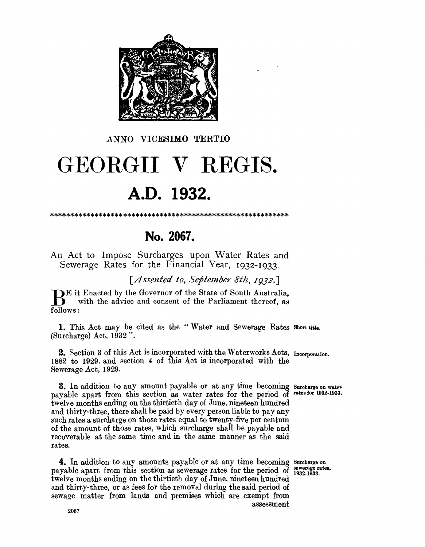

## ANNO VICESIMO TERTIO

## GEORGII V REGIS. A.D. 1932.

No. 2067.

An Act to Impose Surcharges upon Water Rates and Sewerage Rates for the Financial Year, 1932-1933.

[Assented to, September 8th, 1932.]

DE it Enacted by the Governor of the State of South Australia. with the advice and consent of the Parliament thereof, as follows:

1. This Act may be cited as the "Water and Sewerage Rates Short title. (Surcharge) Act, 1932".

2. Section 3 of this Act is incorporated with the Waterworks Acts, Incorporation. 1882 to 1929, and section 4 of this Act is incorporated with the Sewerage Act, 1929.

3. In addition to any amount payable or at any time becoming Surcharge on water payable apart from this section as water rates for the period of rates for 1932-1933. twelve months ending on the thirtieth day of June, nineteen hundred and thirty-three, there shall be paid by every person liable to pay any such rates a surcharge on those rates equal to twenty-five per centum of the amount of those rates, which surcharge shall be payable and recoverable at the same time and in the same manner as the said rates.

4. In addition to any amounts payable or at any time becoming Surcharge on payable apart from this section as sewerage rates for the period of sewerage rates. twelve months ending on the thirtieth day of June, nineteen hundred and thirty-three, or as fees for the removal during the said period of sewage matter from lands and premises which are exempt from assessment